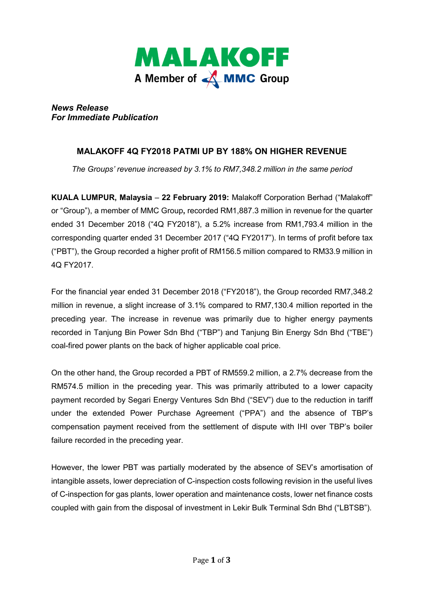

*News Release For Immediate Publication* 

## **MALAKOFF 4Q FY2018 PATMI UP BY 188% ON HIGHER REVENUE**

*The Groups' revenue increased by 3.1% to RM7,348.2 million in the same period* 

**KUALA LUMPUR, Malaysia** – **22 February 2019:** Malakoff Corporation Berhad ("Malakoff" or "Group"), a member of MMC Group**,** recorded RM1,887.3 million in revenue for the quarter ended 31 December 2018 ("4Q FY2018"), a 5.2% increase from RM1,793.4 million in the corresponding quarter ended 31 December 2017 ("4Q FY2017"). In terms of profit before tax ("PBT"), the Group recorded a higher profit of RM156.5 million compared to RM33.9 million in 4Q FY2017.

For the financial year ended 31 December 2018 ("FY2018"), the Group recorded RM7,348.2 million in revenue, a slight increase of 3.1% compared to RM7,130.4 million reported in the preceding year. The increase in revenue was primarily due to higher energy payments recorded in Tanjung Bin Power Sdn Bhd ("TBP") and Tanjung Bin Energy Sdn Bhd ("TBE") coal-fired power plants on the back of higher applicable coal price.

On the other hand, the Group recorded a PBT of RM559.2 million, a 2.7% decrease from the RM574.5 million in the preceding year. This was primarily attributed to a lower capacity payment recorded by Segari Energy Ventures Sdn Bhd ("SEV") due to the reduction in tariff under the extended Power Purchase Agreement ("PPA") and the absence of TBP's compensation payment received from the settlement of dispute with IHI over TBP's boiler failure recorded in the preceding year.

However, the lower PBT was partially moderated by the absence of SEV's amortisation of intangible assets, lower depreciation of C-inspection costs following revision in the useful lives of C-inspection for gas plants, lower operation and maintenance costs, lower net finance costs coupled with gain from the disposal of investment in Lekir Bulk Terminal Sdn Bhd ("LBTSB").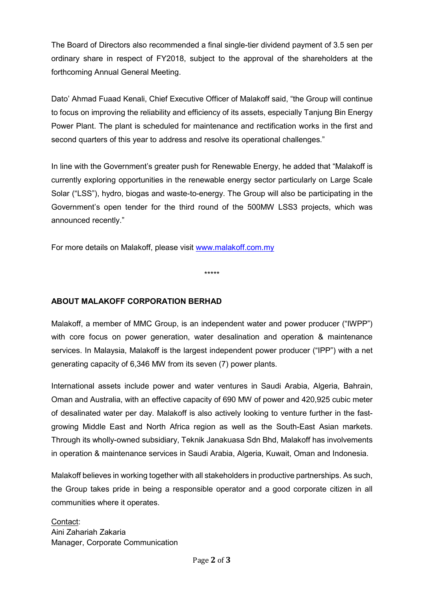The Board of Directors also recommended a final single-tier dividend payment of 3.5 sen per ordinary share in respect of FY2018, subject to the approval of the shareholders at the forthcoming Annual General Meeting.

Dato' Ahmad Fuaad Kenali, Chief Executive Officer of Malakoff said, "the Group will continue to focus on improving the reliability and efficiency of its assets, especially Tanjung Bin Energy Power Plant. The plant is scheduled for maintenance and rectification works in the first and second quarters of this year to address and resolve its operational challenges."

In line with the Government's greater push for Renewable Energy, he added that "Malakoff is currently exploring opportunities in the renewable energy sector particularly on Large Scale Solar ("LSS"), hydro, biogas and waste-to-energy. The Group will also be participating in the Government's open tender for the third round of the 500MW LSS3 projects, which was announced recently."

For more details on Malakoff, please visit www.malakoff.com.my

\*\*\*\*\*

## **ABOUT MALAKOFF CORPORATION BERHAD**

Malakoff, a member of MMC Group, is an independent water and power producer ("IWPP") with core focus on power generation, water desalination and operation & maintenance services. In Malaysia, Malakoff is the largest independent power producer ("IPP") with a net generating capacity of 6,346 MW from its seven (7) power plants.

International assets include power and water ventures in Saudi Arabia, Algeria, Bahrain, Oman and Australia, with an effective capacity of 690 MW of power and 420,925 cubic meter of desalinated water per day. Malakoff is also actively looking to venture further in the fastgrowing Middle East and North Africa region as well as the South-East Asian markets. Through its wholly-owned subsidiary, Teknik Janakuasa Sdn Bhd, Malakoff has involvements in operation & maintenance services in Saudi Arabia, Algeria, Kuwait, Oman and Indonesia.

Malakoff believes in working together with all stakeholders in productive partnerships. As such, the Group takes pride in being a responsible operator and a good corporate citizen in all communities where it operates.

Contact: Aini Zahariah Zakaria Manager, Corporate Communication